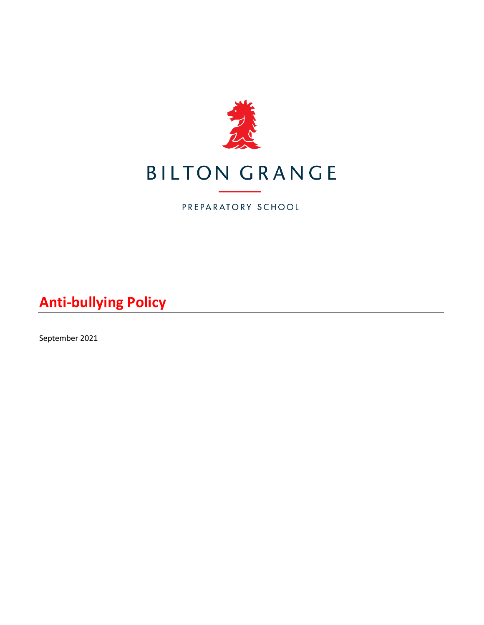

# **BILTON GRANGE**

PREPARATORY SCHOOL

**Anti-bullying Policy**

September 2021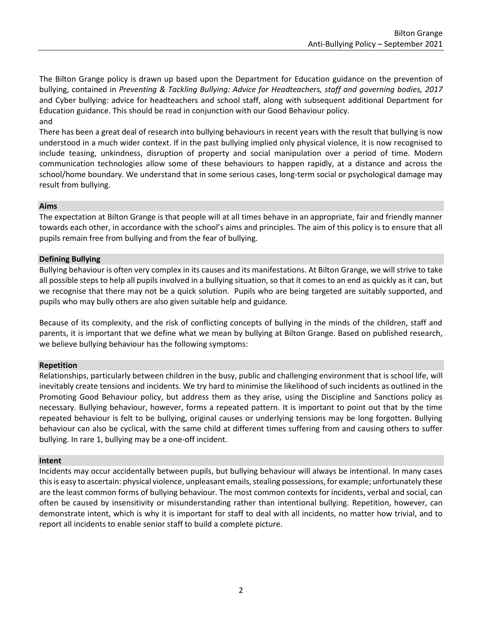The Bilton Grange policy is drawn up based upon the Department for Education guidance on the prevention of bullying, contained in *Preventing & Tackling Bullying: Advice for Headteachers, staff and governing bodies, 2017* and Cyber bullying: advice for headteachers and school staff, along with subsequent additional Department for Education guidance. This should be read in conjunction with our Good Behaviour policy. and

There has been a great deal of research into bullying behaviours in recent years with the result that bullying is now understood in a much wider context. If in the past bullying implied only physical violence, it is now recognised to include teasing, unkindness, disruption of property and social manipulation over a period of time. Modern communication technologies allow some of these behaviours to happen rapidly, at a distance and across the school/home boundary. We understand that in some serious cases, long-term social or psychological damage may result from bullying.

## **Aims**

The expectation at Bilton Grange is that people will at all times behave in an appropriate, fair and friendly manner towards each other, in accordance with the school's aims and principles. The aim of this policy is to ensure that all pupils remain free from bullying and from the fear of bullying.

# **Defining Bullying**

Bullying behaviour is often very complex in its causes and its manifestations. At Bilton Grange, we will strive to take all possible steps to help all pupils involved in a bullying situation, so that it comes to an end as quickly as it can, but we recognise that there may not be a quick solution. Pupils who are being targeted are suitably supported, and pupils who may bully others are also given suitable help and guidance.

Because of its complexity, and the risk of conflicting concepts of bullying in the minds of the children, staff and parents, it is important that we define what we mean by bullying at Bilton Grange. Based on published research, we believe bullying behaviour has the following symptoms:

# **Repetition**

Relationships, particularly between children in the busy, public and challenging environment that is school life, will inevitably create tensions and incidents. We try hard to minimise the likelihood of such incidents as outlined in the Promoting Good Behaviour policy, but address them as they arise, using the Discipline and Sanctions policy as necessary. Bullying behaviour, however, forms a repeated pattern. It is important to point out that by the time repeated behaviour is felt to be bullying, original causes or underlying tensions may be long forgotten. Bullying behaviour can also be cyclical, with the same child at different times suffering from and causing others to suffer bullying. In rare 1, bullying may be a one-off incident.

#### **Intent**

Incidents may occur accidentally between pupils, but bullying behaviour will always be intentional. In many cases this is easy to ascertain: physical violence, unpleasant emails, stealing possessions, for example; unfortunately these are the least common forms of bullying behaviour. The most common contexts for incidents, verbal and social, can often be caused by insensitivity or misunderstanding rather than intentional bullying. Repetition, however, can demonstrate intent, which is why it is important for staff to deal with all incidents, no matter how trivial, and to report all incidents to enable senior staff to build a complete picture.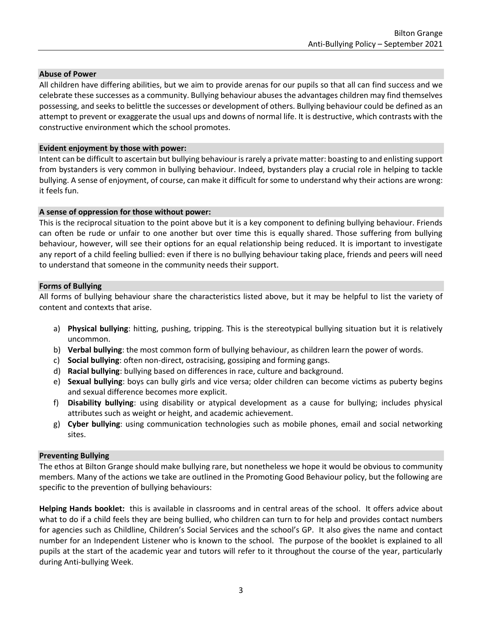## **Abuse of Power**

All children have differing abilities, but we aim to provide arenas for our pupils so that all can find success and we celebrate these successes as a community. Bullying behaviour abuses the advantages children may find themselves possessing, and seeks to belittle the successes or development of others. Bullying behaviour could be defined as an attempt to prevent or exaggerate the usual ups and downs of normal life. It is destructive, which contrasts with the constructive environment which the school promotes.

## **Evident enjoyment by those with power:**

Intent can be difficult to ascertain but bullying behaviour is rarely a private matter: boasting to and enlisting support from bystanders is very common in bullying behaviour. Indeed, bystanders play a crucial role in helping to tackle bullying. A sense of enjoyment, of course, can make it difficult for some to understand why their actions are wrong: it feels fun.

#### **A sense of oppression for those without power:**

This is the reciprocal situation to the point above but it is a key component to defining bullying behaviour. Friends can often be rude or unfair to one another but over time this is equally shared. Those suffering from bullying behaviour, however, will see their options for an equal relationship being reduced. It is important to investigate any report of a child feeling bullied: even if there is no bullying behaviour taking place, friends and peers will need to understand that someone in the community needs their support.

## **Forms of Bullying**

All forms of bullying behaviour share the characteristics listed above, but it may be helpful to list the variety of content and contexts that arise.

- a) **Physical bullying**: hitting, pushing, tripping. This is the stereotypical bullying situation but it is relatively uncommon.
- b) **Verbal bullying**: the most common form of bullying behaviour, as children learn the power of words.
- c) **Social bullying**: often non-direct, ostracising, gossiping and forming gangs.
- d) **Racial bullying**: bullying based on differences in race, culture and background.
- e) **Sexual bullying**: boys can bully girls and vice versa; older children can become victims as puberty begins and sexual difference becomes more explicit.
- f) **Disability bullying**: using disability or atypical development as a cause for bullying; includes physical attributes such as weight or height, and academic achievement.
- g) **Cyber bullying**: using communication technologies such as mobile phones, email and social networking sites.

# **Preventing Bullying**

The ethos at Bilton Grange should make bullying rare, but nonetheless we hope it would be obvious to community members. Many of the actions we take are outlined in the Promoting Good Behaviour policy, but the following are specific to the prevention of bullying behaviours:

**Helping Hands booklet:** this is available in classrooms and in central areas of the school. It offers advice about what to do if a child feels they are being bullied, who children can turn to for help and provides contact numbers for agencies such as Childline, Children's Social Services and the school's GP. It also gives the name and contact number for an Independent Listener who is known to the school. The purpose of the booklet is explained to all pupils at the start of the academic year and tutors will refer to it throughout the course of the year, particularly during Anti-bullying Week.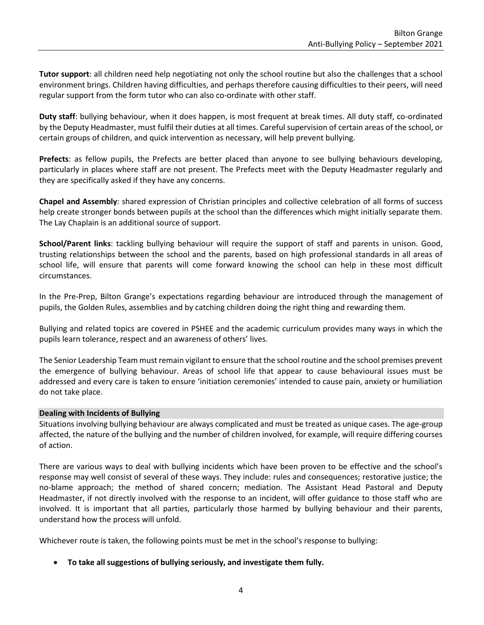**Tutor support**: all children need help negotiating not only the school routine but also the challenges that a school environment brings. Children having difficulties, and perhaps therefore causing difficulties to their peers, will need regular support from the form tutor who can also co-ordinate with other staff.

**Duty staff**: bullying behaviour, when it does happen, is most frequent at break times. All duty staff, co-ordinated by the Deputy Headmaster, must fulfil their duties at all times. Careful supervision of certain areas of the school, or certain groups of children, and quick intervention as necessary, will help prevent bullying.

**Prefects**: as fellow pupils, the Prefects are better placed than anyone to see bullying behaviours developing, particularly in places where staff are not present. The Prefects meet with the Deputy Headmaster regularly and they are specifically asked if they have any concerns.

**Chapel and Assembly**: shared expression of Christian principles and collective celebration of all forms of success help create stronger bonds between pupils at the school than the differences which might initially separate them. The Lay Chaplain is an additional source of support.

**School/Parent links**: tackling bullying behaviour will require the support of staff and parents in unison. Good, trusting relationships between the school and the parents, based on high professional standards in all areas of school life, will ensure that parents will come forward knowing the school can help in these most difficult circumstances.

In the Pre-Prep, Bilton Grange's expectations regarding behaviour are introduced through the management of pupils, the Golden Rules, assemblies and by catching children doing the right thing and rewarding them.

Bullying and related topics are covered in PSHEE and the academic curriculum provides many ways in which the pupils learn tolerance, respect and an awareness of others' lives.

The Senior Leadership Team must remain vigilant to ensure that the school routine and the school premises prevent the emergence of bullying behaviour. Areas of school life that appear to cause behavioural issues must be addressed and every care is taken to ensure 'initiation ceremonies' intended to cause pain, anxiety or humiliation do not take place.

# **Dealing with Incidents of Bullying**

Situations involving bullying behaviour are always complicated and must be treated as unique cases. The age-group affected, the nature of the bullying and the number of children involved, for example, will require differing courses of action.

There are various ways to deal with bullying incidents which have been proven to be effective and the school's response may well consist of several of these ways. They include: rules and consequences; restorative justice; the no-blame approach; the method of shared concern; mediation. The Assistant Head Pastoral and Deputy Headmaster, if not directly involved with the response to an incident, will offer guidance to those staff who are involved. It is important that all parties, particularly those harmed by bullying behaviour and their parents, understand how the process will unfold.

Whichever route is taken, the following points must be met in the school's response to bullying:

• **To take all suggestions of bullying seriously, and investigate them fully.**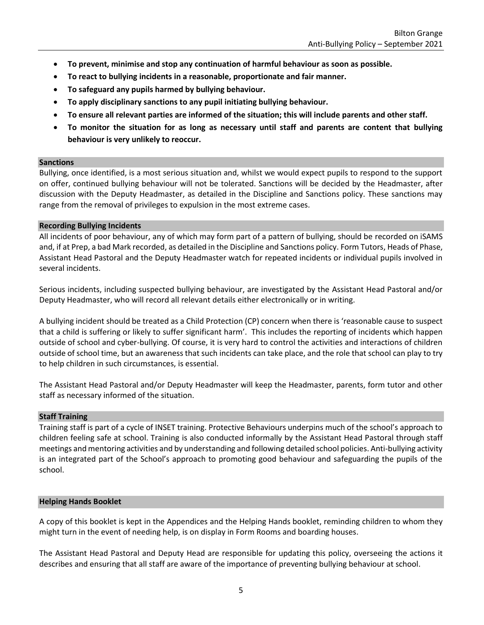- **To prevent, minimise and stop any continuation of harmful behaviour as soon as possible.**
- **To react to bullying incidents in a reasonable, proportionate and fair manner.**
- **To safeguard any pupils harmed by bullying behaviour.**
- **To apply disciplinary sanctions to any pupil initiating bullying behaviour.**
- **To ensure all relevant parties are informed of the situation; this will include parents and other staff.**
- **To monitor the situation for as long as necessary until staff and parents are content that bullying behaviour is very unlikely to reoccur.**

#### **Sanctions**

Bullying, once identified, is a most serious situation and, whilst we would expect pupils to respond to the support on offer, continued bullying behaviour will not be tolerated. Sanctions will be decided by the Headmaster, after discussion with the Deputy Headmaster, as detailed in the Discipline and Sanctions policy. These sanctions may range from the removal of privileges to expulsion in the most extreme cases.

## **Recording Bullying Incidents**

All incidents of poor behaviour, any of which may form part of a pattern of bullying, should be recorded on iSAMS and, if at Prep, a bad Mark recorded, as detailed in the Discipline and Sanctions policy. Form Tutors, Heads of Phase, Assistant Head Pastoral and the Deputy Headmaster watch for repeated incidents or individual pupils involved in several incidents.

Serious incidents, including suspected bullying behaviour, are investigated by the Assistant Head Pastoral and/or Deputy Headmaster, who will record all relevant details either electronically or in writing.

A bullying incident should be treated as a Child Protection (CP) concern when there is 'reasonable cause to suspect that a child is suffering or likely to suffer significant harm'. This includes the reporting of incidents which happen outside of school and cyber-bullying. Of course, it is very hard to control the activities and interactions of children outside of school time, but an awareness that such incidents can take place, and the role that school can play to try to help children in such circumstances, is essential.

The Assistant Head Pastoral and/or Deputy Headmaster will keep the Headmaster, parents, form tutor and other staff as necessary informed of the situation.

# **Staff Training**

Training staff is part of a cycle of INSET training. Protective Behaviours underpins much of the school's approach to children feeling safe at school. Training is also conducted informally by the Assistant Head Pastoral through staff meetings and mentoring activities and by understanding and following detailed school policies. Anti-bullying activity is an integrated part of the School's approach to promoting good behaviour and safeguarding the pupils of the school.

# **Helping Hands Booklet**

A copy of this booklet is kept in the Appendices and the Helping Hands booklet, reminding children to whom they might turn in the event of needing help, is on display in Form Rooms and boarding houses.

The Assistant Head Pastoral and Deputy Head are responsible for updating this policy, overseeing the actions it describes and ensuring that all staff are aware of the importance of preventing bullying behaviour at school.